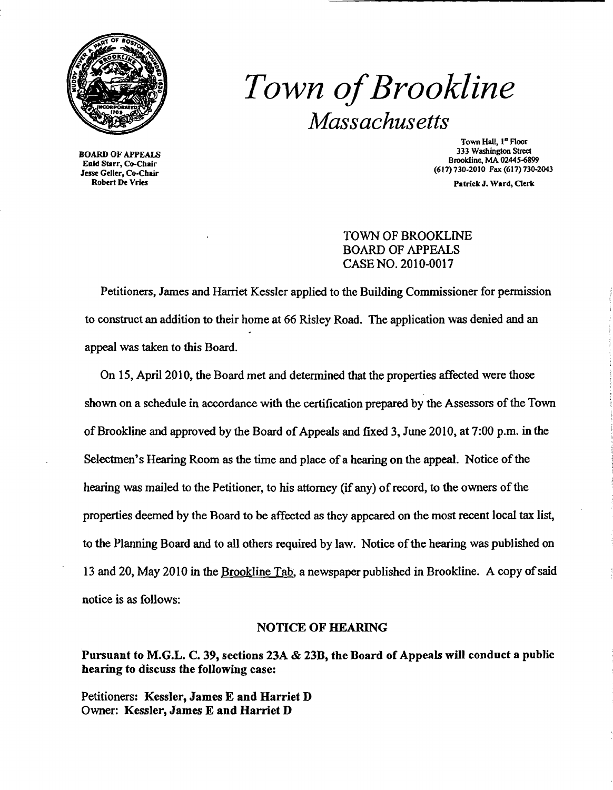

# *Town ofBrookline Massachusetts*

BOARD OF APPEALS Enid Starr, Co-Cbair Jesse Geller, Co-Chair Robert De Vries

Town Hall, 1<sup>ª</sup> Floor 333 Washington Street Brooldine, MA 02445-6899 (617) 730-2010 Fax (617) 730-2043

PatrickJ. Ward, Oerk

TOWN OF BROOKLINE BOARD OF APPEALS CASE NO. 2010-0017

Petitioners, James and Harriet Kessler applied to the Building Commissioner for permission to construct an addition to their home at 66 Risley Road. The application was denied and an appeal was taken to this Board.

On 15, April 2010, the Board met and determined that the properties affected were those shown on a schedule in accordance with the certification prepared by the Assessors of the Town of Brookline and approved by the Board of Appeals and fixed 3, June 2010, at 7:00 p.m. in the Selectmen's Hearing Room as the time and place of a hearing on the appeal. Notice of the hearing was mailed to the Petitioner, to his attorney (if any) of record, to the owners of the properties deemed by the Board to be affected as they appeared on the most recent local tax list, to the Planning Board and to all others required by law. Notice of the hearing was published on 13 and 20, May 2010 in the Brookline Tab, a newspaper published in Brookline. A copy of said notice is as follows:

#### NOTICE OF HEARING

Pursuant to M.G.L. C. 39, sections 23A & 23B, the Board of Appeals will conduct a public hearing to discuss the following case:

Petitioners: Kessler, James E and Harriet D Owner: Kessler, James E and Harriet D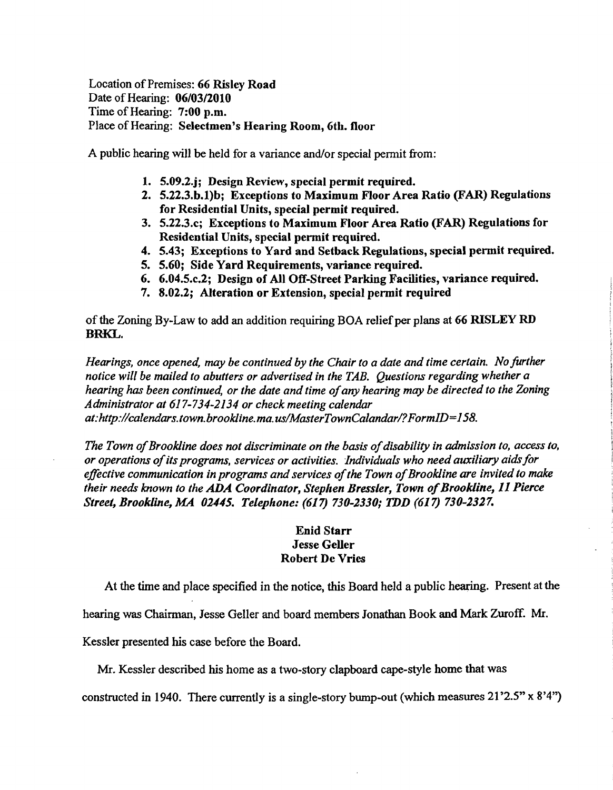Location of Premises: 66 Risley Road Date of Hearing: 06/03/2010 Time of Hearing: 7:00 p.m. Place of Hearing: Selectmen's Hearing Room, 6th. floor

A public hearing will be held for a variance and/or special permit from:

- 1. 5.09.2.j; Design Review, special permit required.
- 2. 5.22.3.b.1)b; Exceptions to Maximum Floor Area Ratio (FAR) Regulations for Residential Units, special permit required.
- 3. 5.22.3.c; Exceptions to Maximum Floor Area Ratio (FAR) Regulations for Residential Units, special pennit required.
- 4. 5.43; Exceptions to Yard and Setback Regulations, special permit required.
- 5. 5.60; Side Yard Requirements, variance required.
- 6. 6.04.5.c.2; Design of All Off-Street Parking Facilities, variance required.
- 7. 8.02.2; Alteration or Extension, special permit required

of the Zoning By-Law to add an addition requiring BOA relief per plans at 66 RISLEY RD BRKL.

*Hearings, once opened,* may *be continued by the Chair to a date and time certain. No further notice will be mailed to abutters or advertised in the TAB. Questions regarding whether a hearing has been continued, or the date and time ofany hearing may be directed to the Zoning Administrator at* 617-734-2134 *or check meeting calendar at:http://calendars.town.brookline.ma.uslMasterTownCalandarl?FormID=158.* 

The Town of Brookline does not discriminate on the basis of disability in admission to, access to, *or operations ofits programs, services or activities. Individuals who need auxiliary aidsfor*  effective communication in programs and services of the Town of Brookline are invited to make *their needs known to the* ADA *Coordinator, Step/ten Bressler, Town ofBrookline,* 11 *Pierce Street, Brookline, MA 02.145. Telephone:* (617) *730-2330; TDD* (617) *730-2327.* 

## Enid Starr Jesse Geller Robert De Vries

At the time and place specified in the notice, this Board held a public hearing. Present at the

hearing was Chairman, Jesse Geller and board members Jonathan Book and Mark Zuroff. Mr.

Kessler presented his case before the Board.

Mr. Kessler described his home as a two-story clapboard cape-style home that was

constructed in 1940. There currently is a single-story bump-out (which measures 21 '2.5" x 8'4")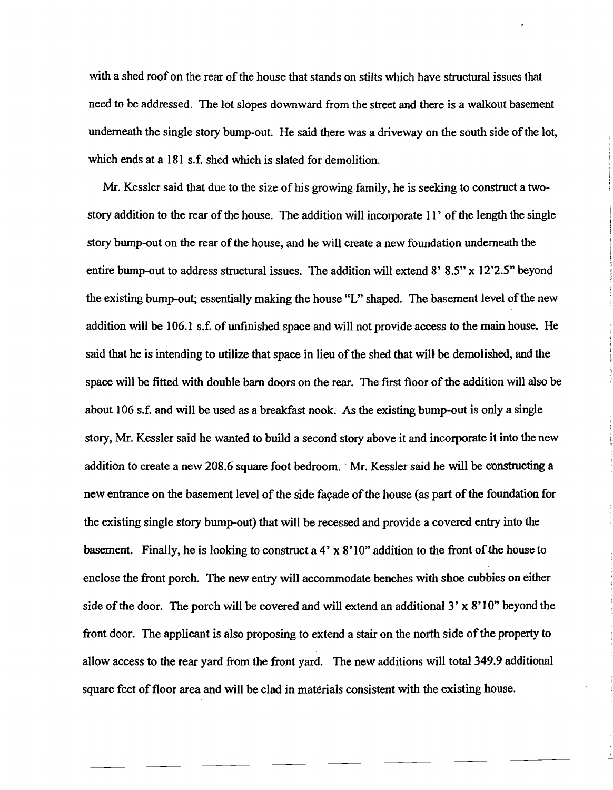with a shed roof on the rear of the house that stands on stilts which have structural issues that need to be addressed. The lot slopes downward from the street and there is a walkout basement underneath the single story bump-out. He said there was a driveway on the south side of the lot, which ends at a 181 s.f. shed which is slated for demolition.

Mr. Kessler said that due to the size of his growing family, he is seeking to construct a twostory addition to the rear of the house. The addition will incorporate 11' of the length the single story bump-out on the rear of the house, and he will create a new foundation underneath the entire bump-out to address structural issues. The addition will extend 8' 8.5" x 12'2.5" beyond the existing bump-out; essentially making the house "L" shaped. The basement level of the new addition will be 106.1 s.f. of unfinished space and will not provide access to the main house. He said that he is intending to utilize that space in lieu of the shed that will be demolished, and the space will be fitted with double barn doors on the rear. The first floor of the addition will also be about 106 s.f. and will be used as a breakfast nook. As the existing bwnp-out is only a single story, Mr. Kessler said he wanted to build a second story above it and incorporate it into the new addition to create a new 208.6 square foot bedroom.. Mr. Kessler said he will be constructing a new entrance on the basement level of the side façade of the house (as part of the foundation for the existing single story bump-out) that will be recessed and provide a covered entry jnto the basement. Finally, he is looking to construct a  $4' \times 8'10''$  addition to the front of the house to enclose the front porch. The new entry will accommodate benches with shoe cubbies on either side of the door. The porch will be covered and will extend an additional  $3' \times 8'10''$  beyond the front door. The applicant is also proposing to extend a stair on the north side of the property to allow access to the rear yard from the front yard. The new additions will total 349.9 additional square feet of floor area and will be clad in materials consistent with the existing house.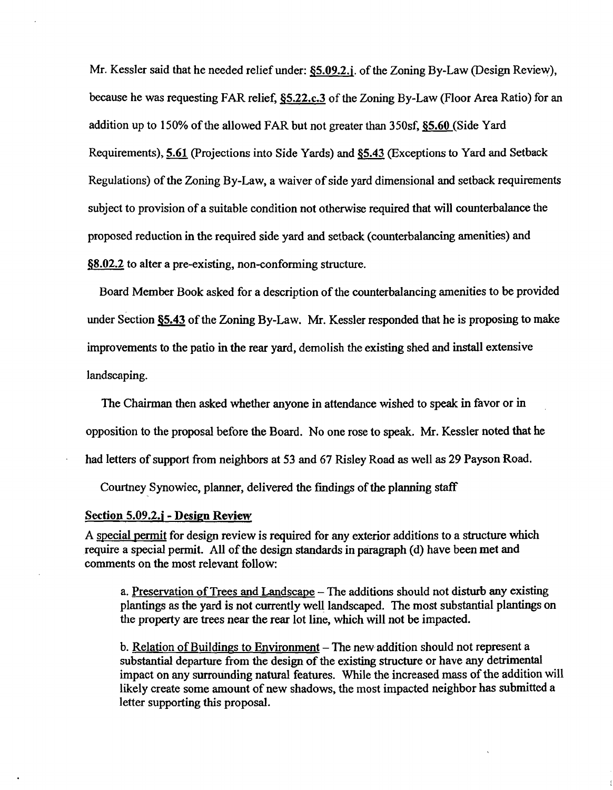Mr. Kessler said that he needed relief under: §5.09.2.j. of the Zoning By-Law (Design Review), because he was requesting FAR relief, §5.22.c.3 of the Zoning By-Law (Floor Area Ratio) for an addition up to 150% of the allowed FAR but not greater than 350sf, \$5.60 (Side Yard Requirements), 5.61 (projections into Side Yards) and §5.43 (Exceptions to Yard and Setback Regulations) of the Zoning By-Law, a waiver of side yard dimensional and setback requirements subject to provision of a suitable condition not otherwise required that will counterbalance the proposed reduction in the required side yard and setback (counterbalancing amenities) and §8.02.2 to alter a pre-existing, non-conforming structure.

Board Member Book asked for a description of the counterbalancing amenities to be provided under Section §5.43 of the Zoning By-Law. Mr. Kessler responded that he is proposing to make improvements to the patio in the rear yard, demolish the existing shed and install extensive landscaping.

The Chairman then asked whether anyone in attendance wished to speak in favor or in

opposition to the proposal before the Board. No one rose to speak. Mr. Kessler noted that he

had letters of support from neighbors at 53 and 67 Risley Road as well as 29 Payson Road.

Courtney Synowiec, planner, delivered the findings of the planning staff

#### Section 5.09.2.j - Design Review

A special permit for design review is required for any exterior additions to a structure which require a special permit. All of the design standards in paragraph (d) have been met and comments on the most relevant follow:

a. Preservation of Trees and Landscape - The additions should not disturb any existing plantings as the yard is not currently well landscaped. The most substantial plantings on the property are trees near the rear lot line, which will not be impacted.

b. Relation of Buildings to Environment – The new addition should not represent a substantial departure from the design of the existing structure or have any detrimental impact on any surrounding natural features. While the increased mass of the addition will likely create some amount of new shadows, the most impacted neighbor has submitted a letter supporting this proposal.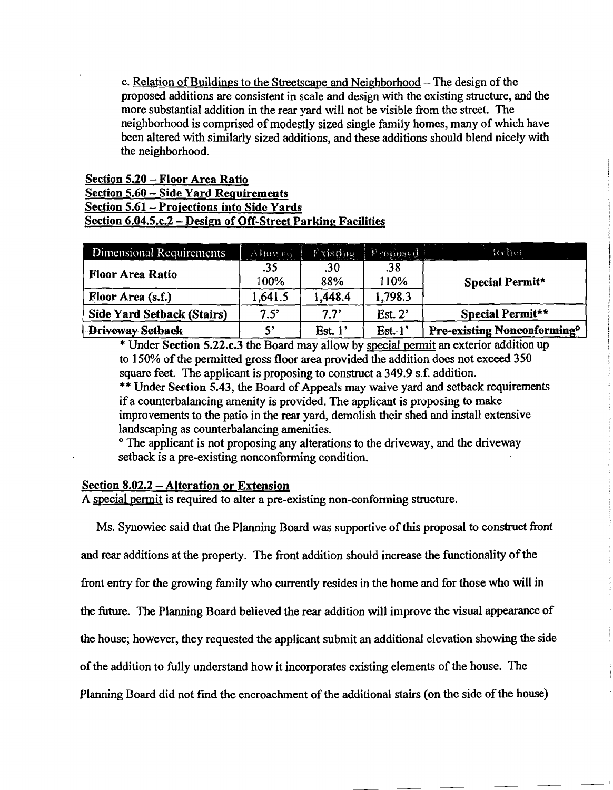c. Relation of Buildings to the Streetscape and Neighborhood  $-$  The design of the proposed additions are consistent in scale and design with the existing structure, and the more substantial addition in the rear yard will not be visible from the street. The neighborhood is comprised of modestly sized single family homes, many of which have been altered with similarly sized additions, and these additions should blend nicely with the neighborhood.

# Section 5.20 - Floor Area Ratio Section 5.60 - Side Yard Requirements Section 5.61- Projections into Side Yards Section 6.04.5.c.2 - Design of Off-Street Parking Facilities

| Dimensional Requirements          | Allowed     | Existing   | Proposed    | Reher                                          |
|-----------------------------------|-------------|------------|-------------|------------------------------------------------|
| <b>Floor Area Ratio</b>           | .35<br>100% | .30<br>88% | .38<br>110% | Special Permit*                                |
| Floor Area (s.f.)                 | 1,641.5     | 1,448.4    | 1,798.3     |                                                |
| <b>Side Yard Setback (Stairs)</b> | $7.5^\circ$ | 7.7'       | Est. $2'$   | Special Permit**                               |
| Driveway Setback                  |             | Est. $1'$  | Est.1'      | <b>Pre-existing Nonconforming</b> <sup>o</sup> |

\* Under Section 5.22.c.3 the Board may allow by special permit an exterior addition up to 150% of the permitted gross floor area provided the addition does not exceed 350 square feet. The applicant is proposing to construct a 349.9 s.f. addition.

\*\* Under Section 5.43, the Board of Appeals may waive yard and setback requirements ifa counterbalancing amenity is provided. The applicant is proposing to make improvements to the patio in the rear yard, demolish their shed and install extensive landscaping as counterbalancing amenities.

<sup>o</sup> The applicant is not proposing any alterations to the driveway, and the driveway setback is a pre-existing nonconforming condition.

## Section 8.02.2 - Alteration or Extension

A special pennit is required to alter a pre-existing non-conforming structure.

Ms. Synowiec said that the Planning Board was supportive of this proposal to construct front

and rear additions at the property. The front addition should increase the functionality of the

front entry for the growing family who currently resides in the home and for those who will in

the future. The Planning Board believed the rear addition will improve the visual appearance of

the house; however, they requested the applicant submit an additional elevation showing the side

of the addition to fully understand how it incorporates existing elements of the house. The

Planning Board did not find the encroachment of the additional stairs (on the side of the house)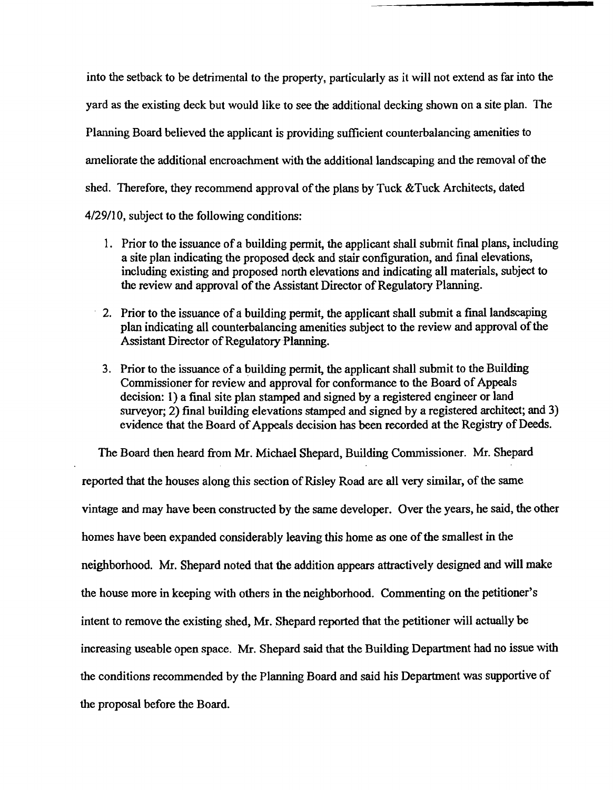into the setback to be detrimental to the property, particularly as it will not extend as far into the yard as the existing deck but would like to see the additional decking shown on a site plan. The Planning Board believed the applicant is providing sufficient counterbalancing amenities to ameliorate the additional encroachment with the additional landscaping and the removal of the shed. Therefore, they recommend approval of the plans by Tuck  $&$  Tuck Architects, dated 4/29/10, subject to the following conditions:

- 1. Prior to the issuance of a building permit, the applicant shall submit final plans, including a site plan indicating the proposed deck and stair configuration, and final elevations, including existing and proposed north elevations and indicating all materials, subject to the review and approval of the Assistant Director of Regulatory Planning.
- 2. Prior to the issuance of a building permit, the applicant shall submit a final landscaping plan indicating all counterbalancing amenities subject to the review and approval ofthe Assistant Director of Regulatory Planning.
- 3. Prior to the issuance of a building permit, the applicant shall submit to the Building Commissioner for review and approval for conformance to the Board of Appeals decision: 1) a final site plan stamped and signed by a registered engineer or land surveyor; 2) final building elevations stamped and signed by a registered architect; and 3) evidence that the Board of Appeals decision has been recorded at the Registry of Deeds.

The Board then heard from Mr. Michael Shepard, Building Commissioner. Mr. Shepard reported that the houses along this section of Risley Road are all very similar, of the same vintage and may have been constructed by the same developer. Over the years, he said, the other homes have been expanded considerably leaving this home as one of the smallest in the neighborhood. Mr. Shepard noted that the addition appears attractively designed and will make the house more in keeping with others in the neighborhood. Commenting on the petitioner's intent to remove the existing shed, Mr. Shepard reported that the petitioner will actually be increasing useable open space. Mr. Shepard said that the Building Department had no issue with the conditions recommended by the Planning Board and said his Department was supportive of the proposal before the Board.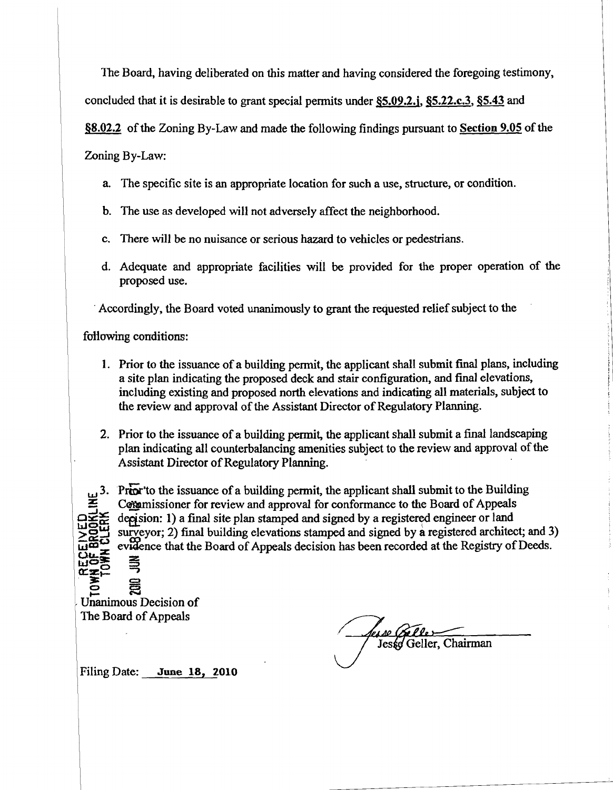The Board, having deliberated on this matter and having considered the foregoing testimony,

concluded that it is desirable to grant special pennits under §5.09.2.i, §5.22.c.3, §5.43 and

§8.02.2 of the Zoning By-Law and made the following findings pursuant to Section 9.05 of the

Zoning By-Law:

- a. The specific site is an appropriate location for such a use, structure, or condition.
- b. The use as developed will not adversely affect the neighborhood.
- c. There will be no nuisance or serious hazard to vehicles or pedestrians.
- d. Adequate and appropriate facilities will be provided for the proper operation of the proposed use.

. Accordingly, the Board voted unanimously to grant the requested relief subject to the

following conditions:

- 1. Prior to the issuance of a building permit, the applicant shall submit final plans, including a site plan indicating the proposed deck and stair configuration, and fmal elevations, including existing and proposed north elevations and indicating all materials, subject to the review and approval of the Assistant Director of Regulatory Planning.
- 2. Prior to the issuance of a building permit, the applicant shall submit a final landscaping plan indicating all counterbalancing amenities subject to the review and approval of the Assistant Director of Regulatory Planning.

 $\overline{\mathbf{C}}$ u. $\boldsymbol{\Sigma}$  $\mathbb{Z}_{\mathbb{Z}}^{\mathbb{Z}}$  .  $\mathbb{Z}_{\mathbb{Z}}^{\mathbb{Z}}$  .  $\mathbb{Z}_{\mathbb{Z}}$ 

**y** 3. Prior to the issuance of a building permit, the applicant shall submit to the Building : Commissioner for review and approval for conformance to the Board of Appeals decision: 1) a final site plan stamped and signed by a registered engineer or land surveyor; 2) final building elevations stamped and signed by a registered architect; and 3) evidence that the Board of Appeals decision has been recorded at the Registry of Deeds.

Unanimous Decision of The Board of Appeals

les se (Bel Jesse Geller, Chairman

Filing Date: June 18, 2010